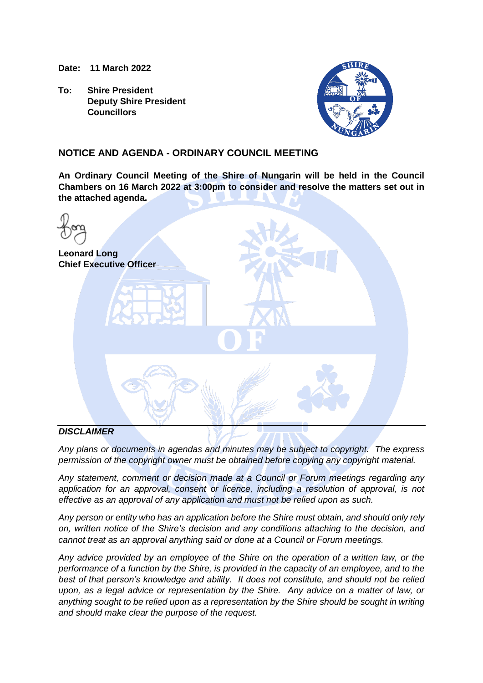**Date: 11 March 2022**

**To: Shire President Deputy Shire President Councillors**



## **NOTICE AND AGENDA - ORDINARY COUNCIL MEETING**

**An Ordinary Council Meeting of the Shire of Nungarin will be held in the Council Chambers on 16 March 2022 at 3:00pm to consider and resolve the matters set out in the attached agenda.**

| <b>Leonard Long</b><br><b>Chief Executive Officer</b> |  |
|-------------------------------------------------------|--|
| $\bullet$                                             |  |
| DICCI                                                 |  |

## *DISCLAIMER*

*Any plans or documents in agendas and minutes may be subject to copyright. The express permission of the copyright owner must be obtained before copying any copyright material.*

*Any statement, comment or decision made at a Council or Forum meetings regarding any application for an approval, consent or licence, including a resolution of approval, is not effective as an approval of any application and must not be relied upon as such.*

*Any person or entity who has an application before the Shire must obtain, and should only rely on, written notice of the Shire's decision and any conditions attaching to the decision, and cannot treat as an approval anything said or done at a Council or Forum meetings.*

*Any advice provided by an employee of the Shire on the operation of a written law, or the performance of a function by the Shire, is provided in the capacity of an employee, and to the best of that person's knowledge and ability. It does not constitute, and should not be relied upon, as a legal advice or representation by the Shire. Any advice on a matter of law, or anything sought to be relied upon as a representation by the Shire should be sought in writing and should make clear the purpose of the request.*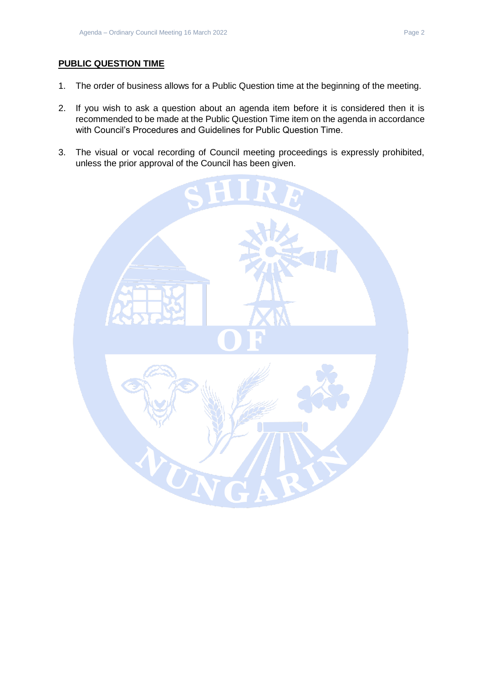## **PUBLIC QUESTION TIME**

- 1. The order of business allows for a Public Question time at the beginning of the meeting.
- 2. If you wish to ask a question about an agenda item before it is considered then it is recommended to be made at the Public Question Time item on the agenda in accordance with Council's Procedures and Guidelines for Public Question Time.
- 3. The visual or vocal recording of Council meeting proceedings is expressly prohibited, unless the prior approval of the Council has been given.

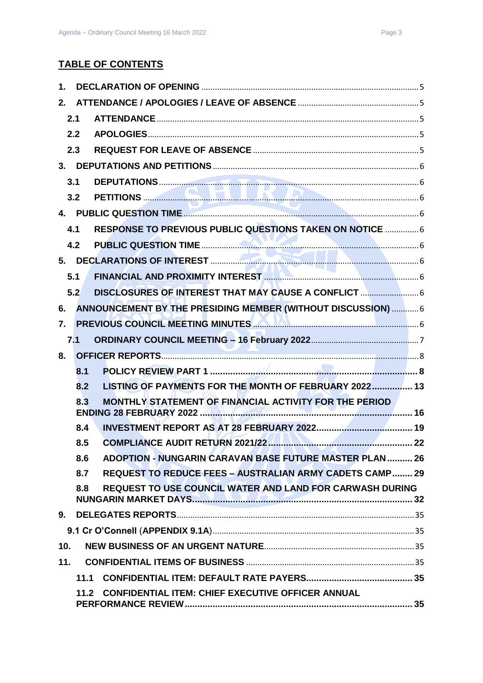| 1.  |      |                                                                            |  |
|-----|------|----------------------------------------------------------------------------|--|
| 2.  |      |                                                                            |  |
|     | 2.1  |                                                                            |  |
|     | 2.2  |                                                                            |  |
|     | 2.3  |                                                                            |  |
|     |      |                                                                            |  |
|     | 3.1  |                                                                            |  |
|     | 3.2  |                                                                            |  |
|     |      |                                                                            |  |
|     | 4.1  | RESPONSE TO PREVIOUS PUBLIC QUESTIONS TAKEN ON NOTICE  6                   |  |
|     | 4.2  |                                                                            |  |
|     |      |                                                                            |  |
|     | 5.1  | FINANCIAL AND PROXIMITY INTEREST <b>MANUAL AND THE REST AND RESIDENT</b> S |  |
|     | 5.2  | DISCLOSURES OF INTEREST THAT MAY CAUSE A CONFLICT                          |  |
| 6.  |      | ANNOUNCEMENT BY THE PRESIDING MEMBER (WITHOUT DISCUSSION)  6               |  |
| 7.  |      | PREVIOUS COUNCIL MEETING MINUTES <b>AND ALL ALL ALL AND ACCOUNCIL</b> 6    |  |
|     | 7.1  |                                                                            |  |
| 8.  |      |                                                                            |  |
|     | 8.1  |                                                                            |  |
|     | 8.2  | LISTING OF PAYMENTS FOR THE MONTH OF FEBRUARY 2022 13                      |  |
|     | 8.3  | MONTHLY STATEMENT OF FINANCIAL ACTIVITY FOR THE PERIOD                     |  |
|     | 8.4  |                                                                            |  |
|     | 8.5  |                                                                            |  |
|     | 8.6  | ADOPTION - NUNGARIN CARAVAN BASE FUTURE MASTER PLAN 26                     |  |
|     | 8.7  | <b>REQUEST TO REDUCE FEES - AUSTRALIAN ARMY CADETS CAMP 29</b>             |  |
|     | 8.8  | <b>REQUEST TO USE COUNCIL WATER AND LAND FOR CARWASH DURING</b>            |  |
| 9.  |      |                                                                            |  |
|     |      |                                                                            |  |
| 10. |      |                                                                            |  |
| 11. |      |                                                                            |  |
|     | 11.1 |                                                                            |  |
|     | 11.2 | <b>CONFIDENTIAL ITEM: CHIEF EXECUTIVE OFFICER ANNUAL</b>                   |  |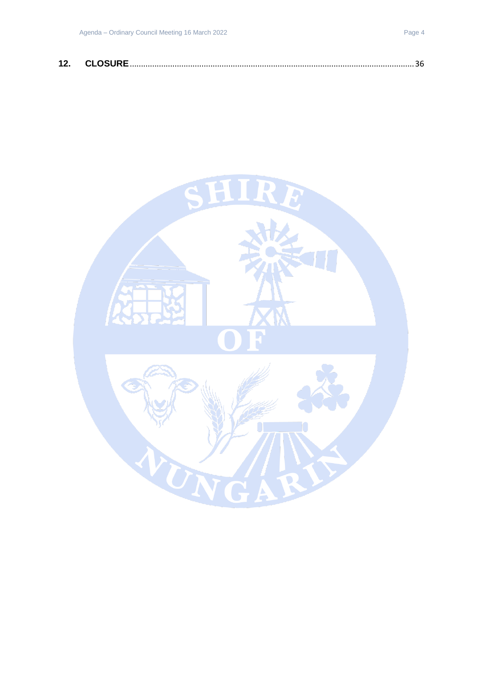| 12. |  |
|-----|--|
|-----|--|

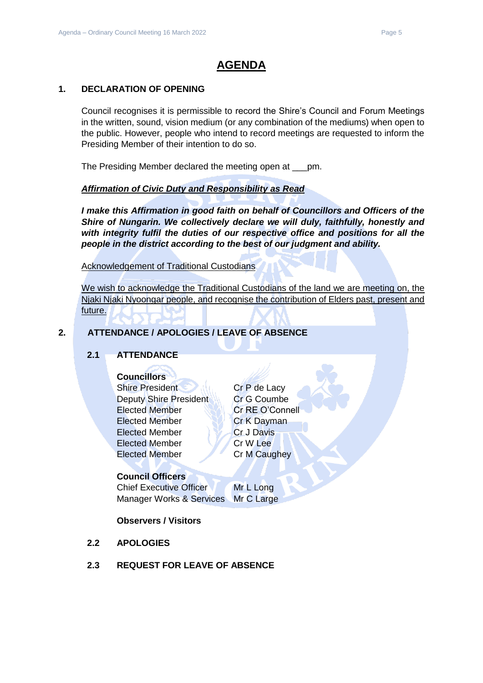## **AGENDA**

### <span id="page-4-0"></span>**1. DECLARATION OF OPENING**

Council recognises it is permissible to record the Shire's Council and Forum Meetings in the written, sound, vision medium (or any combination of the mediums) when open to the public. However, people who intend to record meetings are requested to inform the Presiding Member of their intention to do so.

The Presiding Member declared the meeting open at \_\_\_pm.

## *Affirmation of Civic Duty and Responsibility as Read*

*I make this Affirmation in good faith on behalf of Councillors and Officers of the Shire of Nungarin. We collectively declare we will duly, faithfully, honestly and with integrity fulfil the duties of our respective office and positions for all the people in the district according to the best of our judgment and ability.*

Acknowledgement of Traditional Custodians

We wish to acknowledge the Traditional Custodians of the land we are meeting on, the Njaki Njaki Nyoongar people, and recognise the contribution of Elders past, present and future.

## <span id="page-4-2"></span><span id="page-4-1"></span>**2. ATTENDANCE / APOLOGIES / LEAVE OF ABSENCE**

## **2.1 ATTENDANCE**

## **Councillors**

Shire President Cr P de Lacy Deputy Shire President Cr G Coumbe Elected Member Cr RE O'Connell Elected Member **Cr K Dayman** Elected Member Cr J Davis Elected Member Cr W Lee Elected Member Cr M Caughey

## **Council Officers**

Chief Executive Officer Mr L Long Manager Works & Services Mr C Large

## **Observers / Visitors**

- <span id="page-4-3"></span>**2.2 APOLOGIES**
- <span id="page-4-4"></span>**2.3 REQUEST FOR LEAVE OF ABSENCE**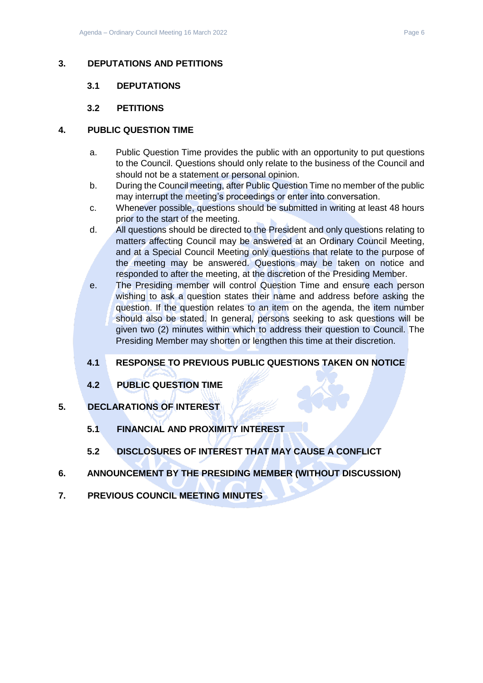## <span id="page-5-1"></span><span id="page-5-0"></span>**3. DEPUTATIONS AND PETITIONS**

## **3.1 DEPUTATIONS**

## **3.2 PETITIONS**

## <span id="page-5-3"></span><span id="page-5-2"></span>**4. PUBLIC QUESTION TIME**

- a. Public Question Time provides the public with an opportunity to put questions to the Council. Questions should only relate to the business of the Council and should not be a statement or personal opinion.
- b. During the Council meeting, after Public Question Time no member of the public may interrupt the meeting's proceedings or enter into conversation.
- c. Whenever possible, questions should be submitted in writing at least 48 hours prior to the start of the meeting.
- d. All questions should be directed to the President and only questions relating to matters affecting Council may be answered at an Ordinary Council Meeting, and at a Special Council Meeting only questions that relate to the purpose of the meeting may be answered. Questions may be taken on notice and responded to after the meeting, at the discretion of the Presiding Member.
- e. The Presiding member will control Question Time and ensure each person wishing to ask a question states their name and address before asking the question. If the question relates to an item on the agenda, the item number should also be stated. In general, persons seeking to ask questions will be given two (2) minutes within which to address their question to Council. The Presiding Member may shorten or lengthen this time at their discretion.

## <span id="page-5-4"></span>**4.1 RESPONSE TO PREVIOUS PUBLIC QUESTIONS TAKEN ON NOTICE**

- **4.2 PUBLIC QUESTION TIME**
- <span id="page-5-7"></span><span id="page-5-6"></span><span id="page-5-5"></span>**5. DECLARATIONS OF INTEREST**
	- **5.1 FINANCIAL AND PROXIMITY INTEREST**
	- **5.2 DISCLOSURES OF INTEREST THAT MAY CAUSE A CONFLICT**
- <span id="page-5-9"></span><span id="page-5-8"></span>**6. ANNOUNCEMENT BY THE PRESIDING MEMBER (WITHOUT DISCUSSION)**
- <span id="page-5-10"></span>**7. PREVIOUS COUNCIL MEETING MINUTES**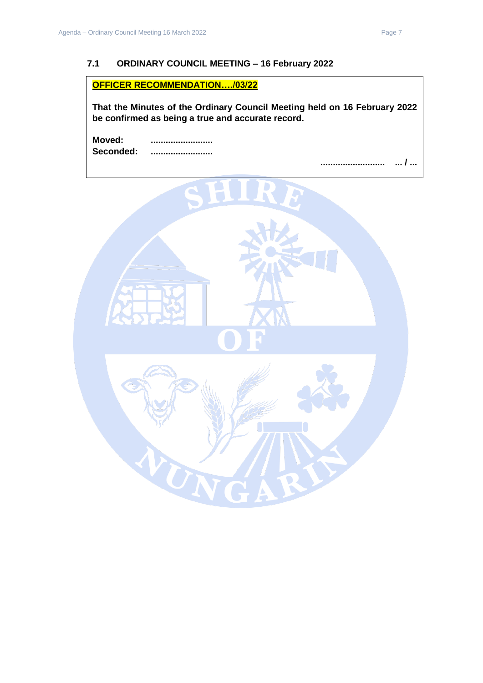## <span id="page-6-0"></span>**7.1 ORDINARY COUNCIL MEETING – 16 February 2022**

**OFFICER RECOMMENDATION…./03/22** 

**That the Minutes of the Ordinary Council Meeting held on 16 February 2022 be confirmed as being a true and accurate record.**

**Moved: ......................... Seconded: .........................**

**.......................... ... / ...** 

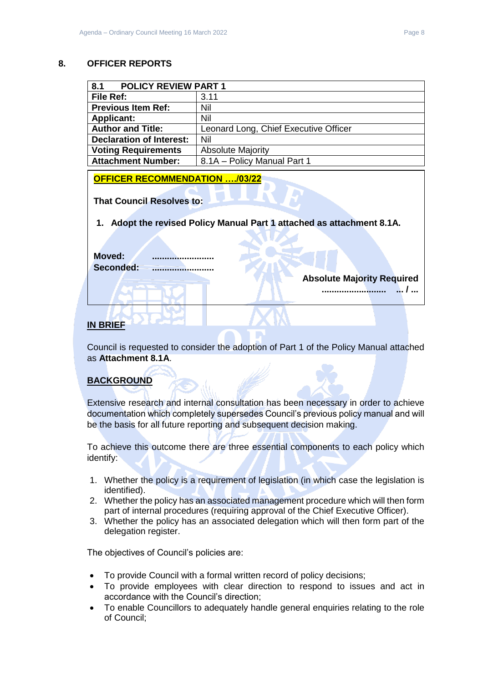#### <span id="page-7-0"></span>**8. OFFICER REPORTS**

<span id="page-7-1"></span>

| 8.1<br><b>POLICY REVIEW PART 1</b> |                                       |  |
|------------------------------------|---------------------------------------|--|
| File Ref:                          | 3.11                                  |  |
| <b>Previous Item Ref:</b>          | Nil                                   |  |
| <b>Applicant:</b>                  | Nil                                   |  |
| <b>Author and Title:</b>           | Leonard Long, Chief Executive Officer |  |
| <b>Declaration of Interest:</b>    | Nil                                   |  |
| <b>Voting Requirements</b>         | <b>Absolute Majority</b>              |  |
| <b>Attachment Number:</b>          | 8.1A - Policy Manual Part 1           |  |

**OFFICER RECOMMENDATION …./03/22** 

**That Council Resolves to:**

**1. Adopt the revised Policy Manual Part 1 attached as attachment 8.1A.**

**Moved: ......................... Seconded: .........................**

**Absolute Majority Required**

**.......................... ... / ...** 

## **IN BRIEF**

Council is requested to consider the adoption of Part 1 of the Policy Manual attached as **Attachment 8.1A**.

## **BACKGROUND**

Extensive research and internal consultation has been necessary in order to achieve documentation which completely supersedes Council's previous policy manual and will be the basis for all future reporting and subsequent decision making.

To achieve this outcome there are three essential components to each policy which identify:

- 1. Whether the policy is a requirement of legislation (in which case the legislation is identified).
- 2. Whether the policy has an associated management procedure which will then form part of internal procedures (requiring approval of the Chief Executive Officer).
- 3. Whether the policy has an associated delegation which will then form part of the delegation register.

The objectives of Council's policies are:

- To provide Council with a formal written record of policy decisions;
- To provide employees with clear direction to respond to issues and act in accordance with the Council's direction;
- To enable Councillors to adequately handle general enquiries relating to the role of Council;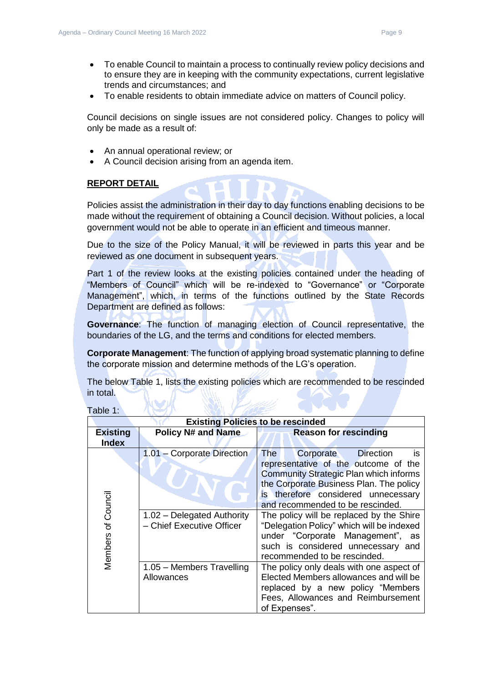- To enable Council to maintain a process to continually review policy decisions and to ensure they are in keeping with the community expectations, current legislative trends and circumstances; and
- To enable residents to obtain immediate advice on matters of Council policy.

Council decisions on single issues are not considered policy. Changes to policy will only be made as a result of:

- An annual operational review; or
- A Council decision arising from an agenda item.

#### **REPORT DETAIL**

Policies assist the administration in their day to day functions enabling decisions to be made without the requirement of obtaining a Council decision. Without policies, a local government would not be able to operate in an efficient and timeous manner.

Due to the size of the Policy Manual, it will be reviewed in parts this year and be reviewed as one document in subsequent years.

Part 1 of the review looks at the existing policies contained under the heading of "Members of Council" which will be re-indexed to "Governance" or "Corporate Management", which, in terms of the functions outlined by the State Records Department are defined as follows:

**Governance**: The function of managing election of Council representative, the boundaries of the LG, and the terms and conditions for elected members.

**Corporate Management**: The function of applying broad systematic planning to define the corporate mission and determine methods of the LG's operation.

The below Table 1, lists the existing policies which are recommended to be rescinded in total.

| <b>Existing Policies to be rescinded</b> |                                                         |                                                                                                                                                                                                                                                                  |  |
|------------------------------------------|---------------------------------------------------------|------------------------------------------------------------------------------------------------------------------------------------------------------------------------------------------------------------------------------------------------------------------|--|
| <b>Existing</b>                          | <b>Policy N# and Name</b>                               | <b>Reason for rescinding</b>                                                                                                                                                                                                                                     |  |
| <b>Index</b>                             |                                                         |                                                                                                                                                                                                                                                                  |  |
|                                          | 1.01 - Corporate Direction                              | <b>Direction</b><br><b>The</b><br>Corporate<br>is<br>representative of the outcome of the<br><b>Community Strategic Plan which informs</b><br>the Corporate Business Plan. The policy<br>is therefore considered unnecessary<br>and recommended to be rescinded. |  |
| of Council<br><b>Members</b>             | 1.02 - Delegated Authority<br>- Chief Executive Officer | The policy will be replaced by the Shire<br>"Delegation Policy" which will be indexed<br>under "Corporate Management", as<br>such is considered unnecessary and<br>recommended to be rescinded.                                                                  |  |
|                                          | 1.05 - Members Travelling<br>Allowances                 | The policy only deals with one aspect of<br>Elected Members allowances and will be<br>replaced by a new policy "Members<br>Fees, Allowances and Reimbursement<br>of Expenses".                                                                                   |  |

Table 1: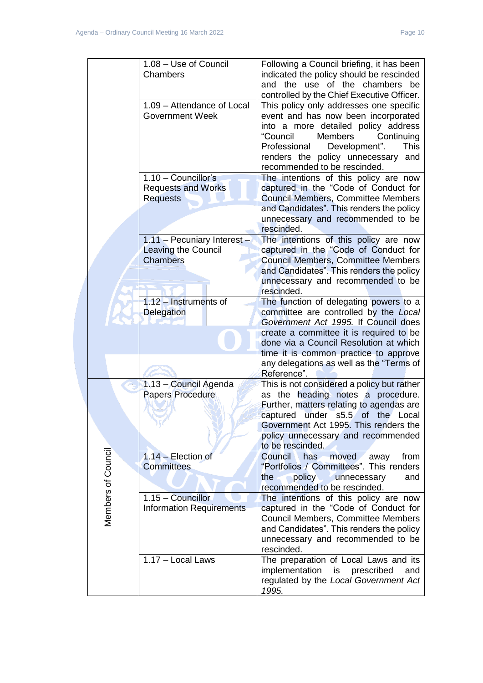|                    | 1.08 - Use of Council                            | Following a Council briefing, it has been                                         |
|--------------------|--------------------------------------------------|-----------------------------------------------------------------------------------|
|                    | Chambers                                         | indicated the policy should be rescinded                                          |
|                    |                                                  | and the use of the chambers be                                                    |
|                    |                                                  | controlled by the Chief Executive Officer.                                        |
|                    | 1.09 - Attendance of Local                       | This policy only addresses one specific                                           |
|                    | <b>Government Week</b>                           | event and has now been incorporated                                               |
|                    |                                                  | into a more detailed policy address                                               |
|                    |                                                  | "Council<br><b>Members</b><br>Continuing                                          |
|                    |                                                  | Professional<br>Development".<br>This                                             |
|                    |                                                  | renders the policy unnecessary<br>and                                             |
|                    |                                                  | recommended to be rescinded.                                                      |
|                    | 1.10 - Councillor's                              | The intentions of this policy are now                                             |
|                    | <b>Requests and Works</b>                        | captured in the "Code of Conduct for                                              |
|                    | <b>Requests</b>                                  | <b>Council Members, Committee Members</b>                                         |
|                    |                                                  | and Candidates". This renders the policy                                          |
|                    |                                                  | unnecessary and recommended to be                                                 |
|                    |                                                  | rescinded.                                                                        |
|                    | 1.11 - Pecuniary Interest -                      | The intentions of this policy are now                                             |
|                    | <b>Leaving the Council</b><br><b>Chambers</b>    | captured in the "Code of Conduct for<br><b>Council Members, Committee Members</b> |
|                    |                                                  | and Candidates". This renders the policy                                          |
|                    |                                                  | unnecessary and recommended to be                                                 |
|                    |                                                  | rescinded.                                                                        |
|                    | 1.12 - Instruments of                            | The function of delegating powers to a                                            |
|                    | <b>Delegation</b>                                | committee are controlled by the Local                                             |
|                    |                                                  | Government Act 1995. If Council does                                              |
|                    |                                                  | create a committee it is required to be                                           |
|                    |                                                  | done via a Council Resolution at which                                            |
|                    |                                                  | time it is common practice to approve                                             |
|                    |                                                  | any delegations as well as the "Terms of                                          |
|                    |                                                  | Reference".                                                                       |
|                    | 1.13 - Council Agenda<br><b>Papers Procedure</b> | This is not considered a policy but rather<br>as the heading notes a procedure.   |
|                    |                                                  | Further, matters relating to agendas are                                          |
|                    |                                                  | under s5.5<br>of the<br>captured<br>Local                                         |
|                    |                                                  | Government Act 1995. This renders the                                             |
|                    |                                                  | policy unnecessary and recommended                                                |
|                    |                                                  | to be rescinded.                                                                  |
|                    | $1.14$ – Election of                             | Council<br>has<br>moved<br>from<br>away                                           |
|                    | <b>Committees</b>                                | "Portfolios / Committees". This renders                                           |
|                    |                                                  | <b>policy</b><br>the<br>unnecessary<br>and                                        |
|                    |                                                  | recommended to be rescinded.                                                      |
| Members of Council | 1.15 - Councillor                                | The intentions of this policy are now                                             |
|                    | <b>Information Requirements</b>                  | captured in the "Code of Conduct for                                              |
|                    |                                                  | Council Members, Committee Members                                                |
|                    |                                                  | and Candidates". This renders the policy                                          |
|                    |                                                  | unnecessary and recommended to be<br>rescinded.                                   |
|                    | 1.17 - Local Laws                                | The preparation of Local Laws and its                                             |
|                    |                                                  | implementation<br>is prescribed<br>and                                            |
|                    |                                                  | regulated by the Local Government Act                                             |
|                    |                                                  | 1995.                                                                             |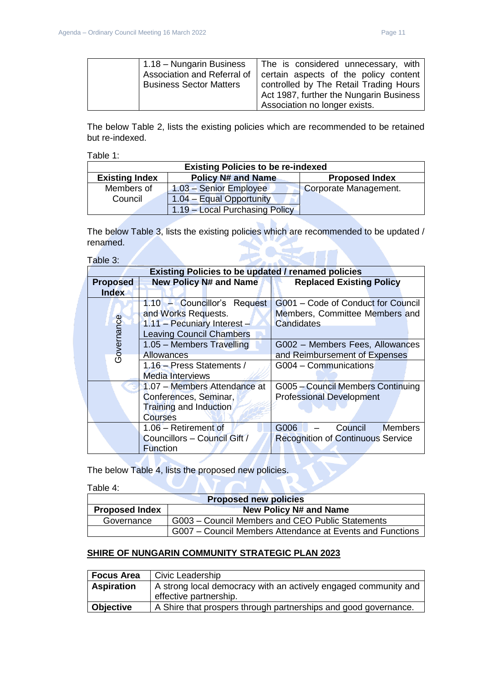| $\vert$ 1.18 – Nungarin Business | The is considered unnecessary, with     |
|----------------------------------|-----------------------------------------|
| Association and Referral of      | certain aspects of the policy content   |
| <b>Business Sector Matters</b>   | controlled by The Retail Trading Hours  |
|                                  | Act 1987, further the Nungarin Business |
|                                  | Association no longer exists.           |

The below Table 2, lists the existing policies which are recommended to be retained but re-indexed.

Table 1:

| <b>Existing Policies to be re-indexed</b>          |                                |                       |  |
|----------------------------------------------------|--------------------------------|-----------------------|--|
| <b>Existing Index</b><br><b>Policy N# and Name</b> |                                | <b>Proposed Index</b> |  |
| Members of                                         | 1.03 - Senior Employee         | Corporate Management. |  |
| Council                                            | 1.04 - Equal Opportunity       |                       |  |
|                                                    | 1.19 - Local Purchasing Policy |                       |  |

The below Table 3, lists the existing policies which are recommended to be updated / renamed.  $\sum_{i=1}^{n}$ 

Table 3:

|                 | <b>Existing Policies to be updated / renamed policies</b>                                                            |                                                                                    |  |
|-----------------|----------------------------------------------------------------------------------------------------------------------|------------------------------------------------------------------------------------|--|
| <b>Proposed</b> | <b>New Policy N# and Name</b>                                                                                        | <b>Replaced Existing Policy</b>                                                    |  |
| <b>Index</b>    |                                                                                                                      |                                                                                    |  |
| Governance      | 1.10 - Councillor's Request<br>and Works Requests.<br>1.11 - Pecuniary Interest -<br><b>Leaving Council Chambers</b> | G001 - Code of Conduct for Council<br>Members, Committee Members and<br>Candidates |  |
|                 | 1.05 - Members Travelling<br><b>Allowances</b>                                                                       | G002 - Members Fees, Allowances<br>and Reimbursement of Expenses                   |  |
|                 | 1.16 - Press Statements /<br><b>Media Interviews</b>                                                                 | G004 - Communications                                                              |  |
|                 | 1.07 - Members Attendance at<br>Conferences, Seminar,<br>Training and Induction<br>Courses                           | G005 - Council Members Continuing<br><b>Professional Development</b>               |  |
|                 | 1.06 - Retirement of<br>Councillors - Council Gift /<br><b>Function</b>                                              | G006<br>Council<br><b>Members</b><br><b>Recognition of Continuous Service</b>      |  |

The below Table 4, lists the proposed new policies.

Table 4:

| <b>Proposed new policies</b>                           |                                                           |  |
|--------------------------------------------------------|-----------------------------------------------------------|--|
| <b>New Policy N# and Name</b><br><b>Proposed Index</b> |                                                           |  |
| Governance                                             | G003 - Council Members and CEO Public Statements          |  |
|                                                        | G007 – Council Members Attendance at Events and Functions |  |

## **SHIRE OF NUNGARIN COMMUNITY STRATEGIC PLAN 2023**

| <b>Focus Area</b>                                                                    | Civic Leadership                                                |
|--------------------------------------------------------------------------------------|-----------------------------------------------------------------|
| A strong local democracy with an actively engaged community and<br><b>Aspiration</b> |                                                                 |
|                                                                                      | effective partnership.                                          |
| <b>Objective</b>                                                                     | A Shire that prospers through partnerships and good governance. |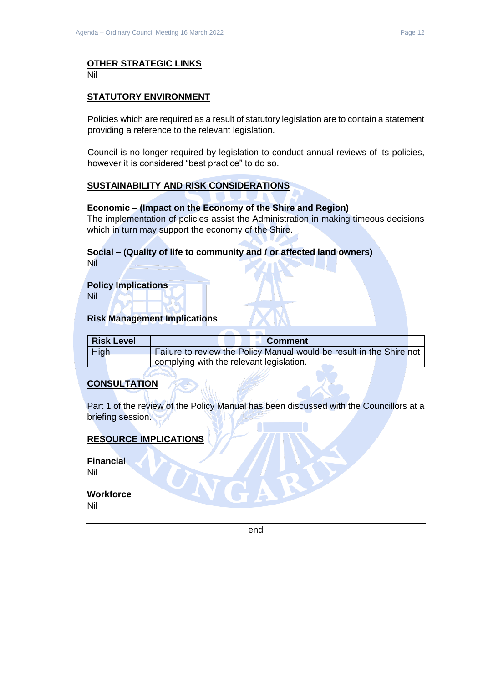# **OTHER STRATEGIC LINKS**

Nil

### **STATUTORY ENVIRONMENT**

Policies which are required as a result of statutory legislation are to contain a statement providing a reference to the relevant legislation.

Council is no longer required by legislation to conduct annual reviews of its policies, however it is considered "best practice" to do so.

### **SUSTAINABILITY AND RISK CONSIDERATIONS**

#### **Economic – (Impact on the Economy of the Shire and Region)**

The implementation of policies assist the Administration in making timeous decisions which in turn may support the economy of the Shire.

#### **Social – (Quality of life to community and / or affected land owners)** Nil

**Policy Implications**

Nil

#### **Risk Management Implications**

| <b>Risk Level</b> | <b>Comment</b>                                                       |  |
|-------------------|----------------------------------------------------------------------|--|
| High              | Failure to review the Policy Manual would be result in the Shire not |  |
|                   | complying with the relevant legislation.                             |  |

## **CONSULTATION**

Part 1 of the review of the Policy Manual has been discussed with the Councillors at a briefing session.

## **RESOURCE IMPLICATIONS**

**Financial** Nil

**Workforce** Nil

end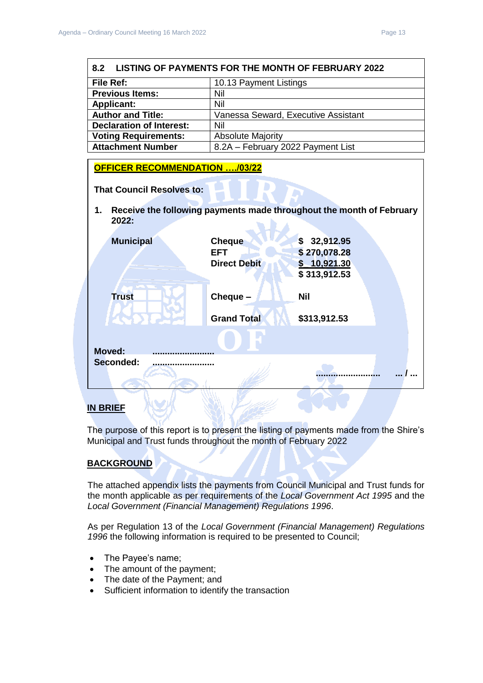<span id="page-12-0"></span>

| 8.2<br><b>LISTING OF PAYMENTS FOR THE MONTH OF FEBRUARY 2022</b> |                                     |                                                                      |  |  |
|------------------------------------------------------------------|-------------------------------------|----------------------------------------------------------------------|--|--|
| <b>File Ref:</b>                                                 |                                     | 10.13 Payment Listings                                               |  |  |
| <b>Previous Items:</b>                                           | Nil                                 |                                                                      |  |  |
| <b>Applicant:</b>                                                | Nil                                 |                                                                      |  |  |
| <b>Author and Title:</b>                                         | Vanessa Seward, Executive Assistant |                                                                      |  |  |
| <b>Declaration of Interest:</b>                                  | Nil                                 |                                                                      |  |  |
| <b>Voting Requirements:</b>                                      | <b>Absolute Majority</b>            |                                                                      |  |  |
| <b>Attachment Number</b>                                         | 8.2A - February 2022 Payment List   |                                                                      |  |  |
| <b>OFFICER RECOMMENDATION /03/22</b>                             |                                     |                                                                      |  |  |
| <b>That Council Resolves to:</b>                                 |                                     |                                                                      |  |  |
| 1.<br>2022:                                                      |                                     | Receive the following payments made throughout the month of February |  |  |
| <b>Municipal</b>                                                 | <b>Cheque</b><br><b>EFT</b>         | \$32,912.95<br>\$270,078.28                                          |  |  |
|                                                                  | <b>Direct Debit</b>                 | $$$ 10,921.30<br>\$313,912.53                                        |  |  |
| <b>Trust</b>                                                     | Cheque -                            | Nil                                                                  |  |  |
|                                                                  | <b>Grand Total</b>                  | \$313,912.53                                                         |  |  |
|                                                                  |                                     |                                                                      |  |  |
| <b>Moved:</b>                                                    |                                     |                                                                      |  |  |
| Seconded:                                                        |                                     |                                                                      |  |  |

### **IN BRIEF**

The purpose of this report is to present the listing of payments made from the Shire's Municipal and Trust funds throughout the month of February 2022

di City

## **BACKGROUND**

The attached appendix lists the payments from Council Municipal and Trust funds for the month applicable as per requirements of the *Local Government Act 1995* and the *Local Government (Financial Management) Regulations 1996*.

As per Regulation 13 of the *Local Government (Financial Management) Regulations 1996* the following information is required to be presented to Council;

- The Payee's name;
- The amount of the payment;
- The date of the Payment; and
- Sufficient information to identify the transaction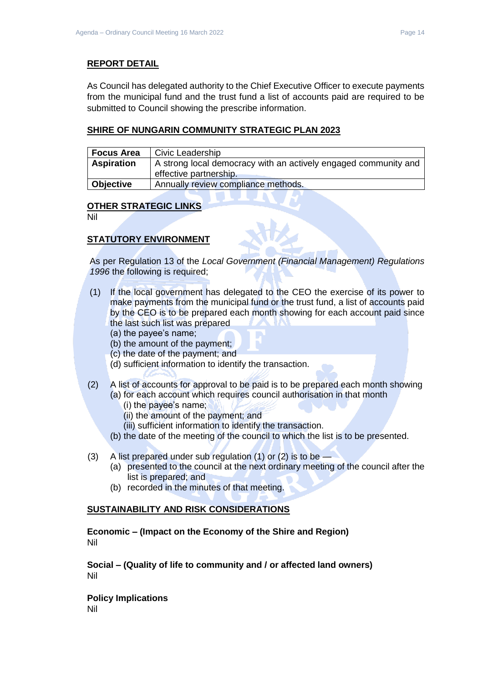### **REPORT DETAIL**

As Council has delegated authority to the Chief Executive Officer to execute payments from the municipal fund and the trust fund a list of accounts paid are required to be submitted to Council showing the prescribe information.

### **SHIRE OF NUNGARIN COMMUNITY STRATEGIC PLAN 2023**

| <b>Focus Area</b> | Civic Leadership                                                                          |
|-------------------|-------------------------------------------------------------------------------------------|
| <b>Aspiration</b> | A strong local democracy with an actively engaged community and<br>effective partnership. |
| Objective         | Annually review compliance methods.                                                       |

#### **OTHER STRATEGIC LINKS**

Nil

## **STATUTORY ENVIRONMENT**

As per Regulation 13 of the *Local Government (Financial Management) Regulations 1996* the following is required;

- (1) If the local government has delegated to the CEO the exercise of its power to make payments from the municipal fund or the trust fund, a list of accounts paid by the CEO is to be prepared each month showing for each account paid since the last such list was prepared
	- (a) the payee's name;
	- (b) the amount of the payment;
	- (c) the date of the payment; and
	- (d) sufficient information to identify the transaction.
- (2) A list of accounts for approval to be paid is to be prepared each month showing (a) for each account which requires council authorisation in that month
	- (i) the payee's name;
	- (ii) the amount of the payment; and
	- (iii) sufficient information to identify the transaction.
	- (b) the date of the meeting of the council to which the list is to be presented.
- (3) A list prepared under sub regulation (1) or (2) is to be
	- (a) presented to the council at the next ordinary meeting of the council after the list is prepared; and
	- (b) recorded in the minutes of that meeting.

#### **SUSTAINABILITY AND RISK CONSIDERATIONS**

**Economic – (Impact on the Economy of the Shire and Region)** Nil

**Social – (Quality of life to community and / or affected land owners)** Nil

**Policy Implications** Nil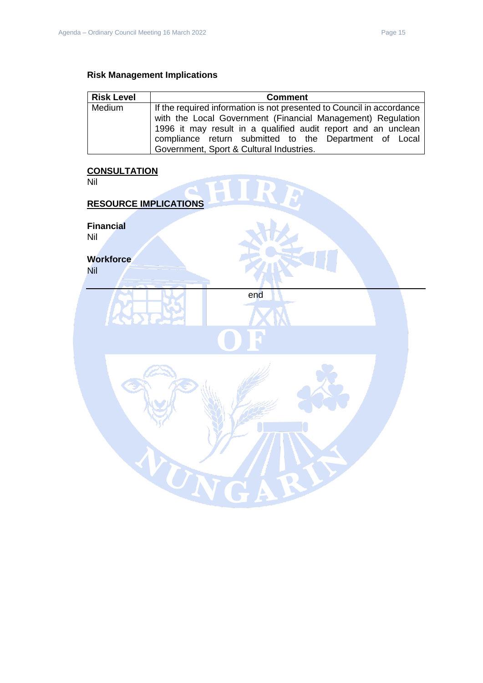## **Risk Management Implications**

| <b>Risk Level</b> | <b>Comment</b>                                                                                                                                                                                                                                                  |
|-------------------|-----------------------------------------------------------------------------------------------------------------------------------------------------------------------------------------------------------------------------------------------------------------|
| Medium            | If the required information is not presented to Council in accordance<br>with the Local Government (Financial Management) Regulation<br>1996 it may result in a qualified audit report and an unclean<br>compliance return submitted to the Department of Local |
|                   | Government, Sport & Cultural Industries.                                                                                                                                                                                                                        |

## **CONSULTATION**

| <u>UURUULIAHUR</u><br>Nil      | 50 I |
|--------------------------------|------|
| <b>RESOURCE IMPLICATIONS</b>   |      |
| <b>Financial</b><br>Nil        |      |
| <b>Workforce</b><br><b>Nil</b> |      |
|                                | end  |
|                                |      |
|                                |      |
|                                |      |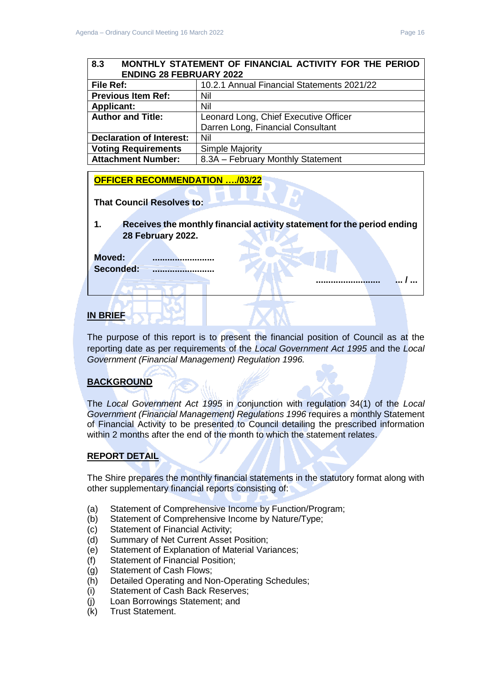## <span id="page-15-0"></span>**8.3 MONTHLY STATEMENT OF FINANCIAL ACTIVITY FOR THE PERIOD ENDING 28 FEBRUARY 2022**

| <b>File Ref:</b>                | 10.2.1 Annual Financial Statements 2021/22 |
|---------------------------------|--------------------------------------------|
| <b>Previous Item Ref:</b>       | Nil                                        |
| <b>Applicant:</b>               | Nil                                        |
| <b>Author and Title:</b>        | Leonard Long, Chief Executive Officer      |
|                                 | Darren Long, Financial Consultant          |
| <b>Declaration of Interest:</b> | Nil                                        |
| <b>Voting Requirements</b>      | <b>Simple Majority</b>                     |
| <b>Attachment Number:</b>       | 8.3A - February Monthly Statement          |

## **OFFICER RECOMMENDATION …./03/22**

**That Council Resolves to:** 

**1. Receives the monthly financial activity statement for the period ending 28 February 2022.**

**Moved: .........................** Seconded:

## **IN BRIEF**

The purpose of this report is to present the financial position of Council as at the reporting date as per requirements of the *Local Government Act 1995* and the *Local Government (Financial Management) Regulation 1996.*

## **BACKGROUND**

The *Local Government Act 1995* in conjunction with regulation 34(1) of the *Local Government (Financial Management) Regulations 1996* requires a monthly Statement of Financial Activity to be presented to Council detailing the prescribed information within 2 months after the end of the month to which the statement relates.

## **REPORT DETAIL**

The Shire prepares the monthly financial statements in the statutory format along with other supplementary financial reports consisting of:

- (a) Statement of Comprehensive Income by Function/Program;
- (b) Statement of Comprehensive Income by Nature/Type;
- (c) Statement of Financial Activity;
- (d) Summary of Net Current Asset Position;
- (e) Statement of Explanation of Material Variances;
- (f) Statement of Financial Position;
- (g) Statement of Cash Flows;
- (h) Detailed Operating and Non-Operating Schedules;
- (i) Statement of Cash Back Reserves;
- (j) Loan Borrowings Statement; and
- (k) Trust Statement.

**.......................... ... / ...**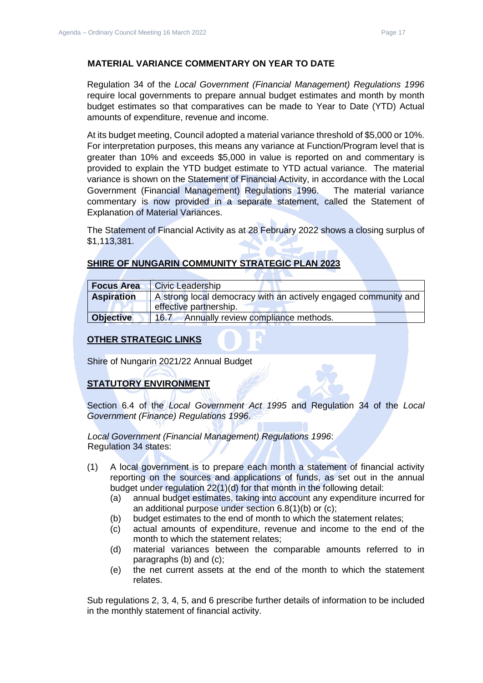### **MATERIAL VARIANCE COMMENTARY ON YEAR TO DATE**

Regulation 34 of the *Local Government (Financial Management) Regulations 1996*  require local governments to prepare annual budget estimates and month by month budget estimates so that comparatives can be made to Year to Date (YTD) Actual amounts of expenditure, revenue and income.

At its budget meeting, Council adopted a material variance threshold of \$5,000 or 10%. For interpretation purposes, this means any variance at Function/Program level that is greater than 10% and exceeds \$5,000 in value is reported on and commentary is provided to explain the YTD budget estimate to YTD actual variance. The material variance is shown on the Statement of Financial Activity, in accordance with the Local Government (Financial Management) Regulations 1996. The material variance commentary is now provided in a separate statement, called the Statement of Explanation of Material Variances.

The Statement of Financial Activity as at 28 February 2022 shows a closing surplus of \$1,113,381.

## **SHIRE OF NUNGARIN COMMUNITY STRATEGIC PLAN 2023**

| <b>Focus Area</b> | <b>Civic Leadership</b>                                         |  |
|-------------------|-----------------------------------------------------------------|--|
| <b>Aspiration</b> | A strong local democracy with an actively engaged community and |  |
|                   | effective partnership.                                          |  |
| <b>Objective</b>  | Annually review compliance methods.<br>16.7                     |  |

## **OTHER STRATEGIC LINKS**

Shire of Nungarin 2021/22 Annual Budget

## **STATUTORY ENVIRONMENT**

Section 6.4 of the *Local Government Act 1995* and Regulation 34 of the *Local Government (Finance) Regulations 1996*.

*Local Government (Financial Management) Regulations 1996*: Regulation 34 states:

- (1) A local government is to prepare each month a statement of financial activity reporting on the sources and applications of funds, as set out in the annual budget under regulation 22(1)(d) for that month in the following detail:
	- (a) annual budget estimates, taking into account any expenditure incurred for an additional purpose under section 6.8(1)(b) or (c);
	- (b) budget estimates to the end of month to which the statement relates;
	- (c) actual amounts of expenditure, revenue and income to the end of the month to which the statement relates;
	- (d) material variances between the comparable amounts referred to in paragraphs (b) and (c);
	- (e) the net current assets at the end of the month to which the statement relates.

Sub regulations 2, 3, 4, 5, and 6 prescribe further details of information to be included in the monthly statement of financial activity.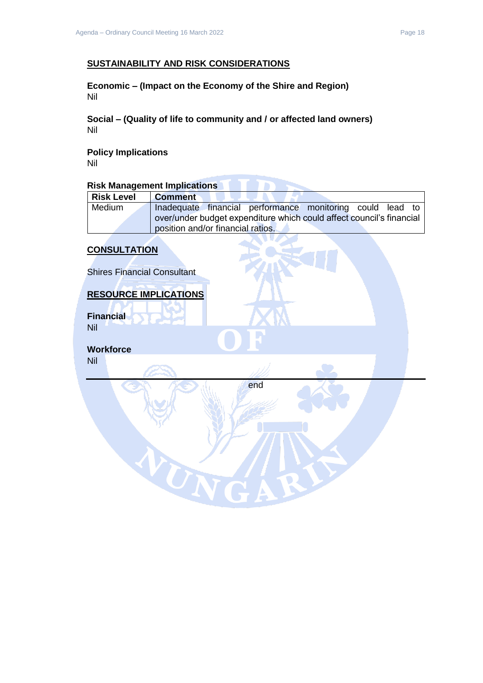### **SUSTAINABILITY AND RISK CONSIDERATIONS**

**Economic – (Impact on the Economy of the Shire and Region)** Nil

**Social – (Quality of life to community and / or affected land owners)** Nil

**Policy Implications** Nil

# **Risk Management Implications**

| <b>Risk Level</b> | <b>Comment</b>                                                       |
|-------------------|----------------------------------------------------------------------|
| Medium            | Inadequate financial performance monitoring could lead to            |
|                   | over/under budget expenditure which could affect council's financial |
|                   | position and/or financial ratios.                                    |

### **CONSULTATION**

Shires Financial Consultant

#### **RESOURCE IMPLICATIONS**

UN

**Financial** Nil

**Workforce** Nil

end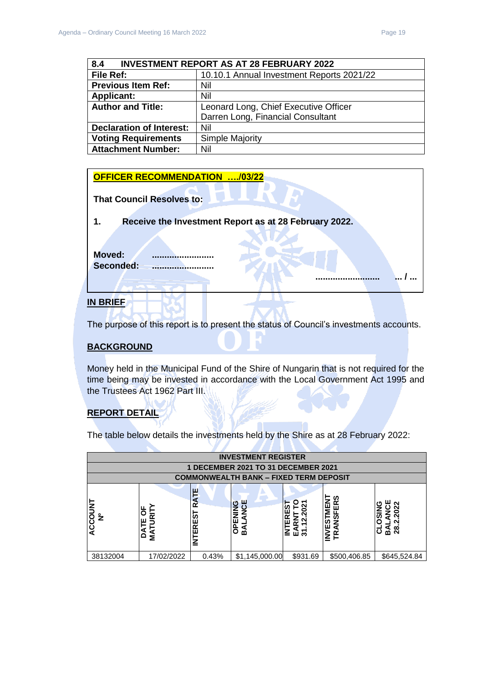<span id="page-18-0"></span>

| <b>INVESTMENT REPORT AS AT 28 FEBRUARY 2022</b><br>8.4 |                                           |  |
|--------------------------------------------------------|-------------------------------------------|--|
| File Ref:                                              | 10.10.1 Annual Investment Reports 2021/22 |  |
| <b>Previous Item Ref:</b>                              | Nil                                       |  |
| <b>Applicant:</b>                                      | Nil                                       |  |
| <b>Author and Title:</b>                               | Leonard Long, Chief Executive Officer     |  |
|                                                        | Darren Long, Financial Consultant         |  |
| <b>Declaration of Interest:</b>                        | Nil                                       |  |
| <b>Voting Requirements</b>                             | Simple Majority                           |  |
| <b>Attachment Number:</b>                              | Nil                                       |  |

### **OFFICER RECOMMENDATION …./03/22**

| <b>That Council Resolves to:</b>                            |
|-------------------------------------------------------------|
| Receive the Investment Report as at 28 February 2022.<br>1. |
| <b>Moved:</b><br>Seconded:                                  |
|                                                             |
| <b>BRIFF</b>                                                |

The purpose of this report is to present the status of Council's investments accounts.

## **BACKGROUND**

Money held in the Municipal Fund of the Shire of Nungarin that is not required for the time being may be invested in accordance with the Local Government Act 1995 and the Trustees Act 1962 Part III.

## **REPORT DETAIL**

The table below details the investments held by the Shire as at 28 February 2022:

- 1

| <b>INVESTMENT REGISTER</b>     |                       |                                  |                                               |          |                                         |                                        |
|--------------------------------|-----------------------|----------------------------------|-----------------------------------------------|----------|-----------------------------------------|----------------------------------------|
|                                |                       |                                  | 1 DECEMBER 2021 TO 31 DECEMBER 2021           |          |                                         |                                        |
|                                |                       |                                  | <b>COMMONWEALTH BANK - FIXED TERM DEPOSIT</b> |          |                                         |                                        |
| <b>DOC</b><br>$\tilde{z}$<br>Q | щ<br>œ<br>ш<br>≨<br>≏ | 쁜<br><b>R</b><br><b>IS3HALMI</b> | 붱<br>O<br>Z<br>ш<br>g<br>⋖<br>m               | Ξ<br>교원  | ທ<br>œ<br>ш<br>ທ<br><u>ທ່</u><br>ш<br>Ζ | <b>OS</b><br>$\overline{28}$<br>ه<br>m |
| 38132004                       | 17/02/2022            | 0.43%                            | \$1,145,000.00                                | \$931.69 | \$500,406.85                            | \$645,524.84                           |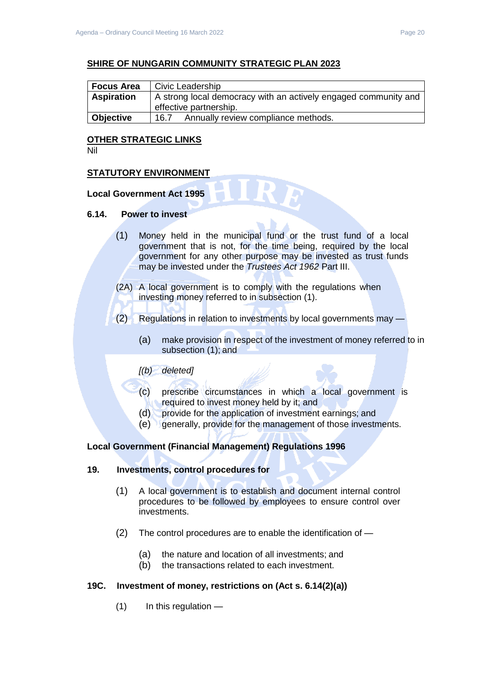### **SHIRE OF NUNGARIN COMMUNITY STRATEGIC PLAN 2023**

| <b>Focus Area</b> | Civic Leadership                                                |  |  |
|-------------------|-----------------------------------------------------------------|--|--|
| <b>Aspiration</b> | A strong local democracy with an actively engaged community and |  |  |
|                   | effective partnership.                                          |  |  |
| <b>Objective</b>  | Annually review compliance methods.<br>16.7                     |  |  |

### **OTHER STRATEGIC LINKS**

Nil

#### **STATUTORY ENVIRONMENT**

### **Local Government Act 1995**

#### **6.14. Power to invest**

- (1) Money held in the municipal fund or the trust fund of a local government that is not, for the time being, required by the local government for any other purpose may be invested as trust funds may be invested under the *Trustees Act 1962* Part III.
- (2A) A local government is to comply with the regulations when investing money referred to in subsection (1).
- (2) Regulations in relation to investments by local governments may
	- (a) make provision in respect of the investment of money referred to in subsection (1); and

#### *[(b) deleted]*

- (c) prescribe circumstances in which a local government is required to invest money held by it; and
- (d) provide for the application of investment earnings; and
- (e) generally, provide for the management of those investments.

#### **Local Government (Financial Management) Regulations 1996**

#### **19. Investments, control procedures for**

- (1) A local government is to establish and document internal control procedures to be followed by employees to ensure control over investments.
- (2) The control procedures are to enable the identification of
	- (a) the nature and location of all investments; and
	- (b) the transactions related to each investment.

#### **19C. Investment of money, restrictions on (Act s. 6.14(2)(a))**

 $(1)$  In this regulation —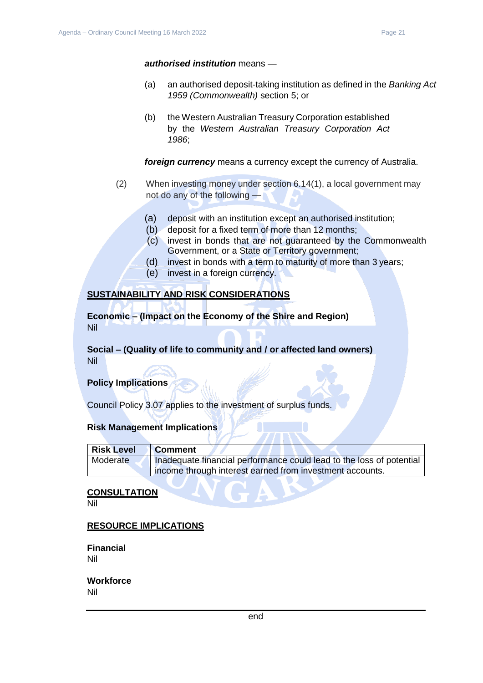#### *authorised institution* means —

- (a) an authorised deposit-taking institution as defined in the *Banking Act 1959 (Commonwealth)* section 5; or
- (b) the Western Australian Treasury Corporation established by the *Western Australian Treasury Corporation Act 1986*;

*foreign currency* means a currency except the currency of Australia.

- (2) When investing money under section 6.14(1), a local government may not do any of the following —
	- (a) deposit with an institution except an authorised institution;
	- (b) deposit for a fixed term of more than 12 months;
	- (c) invest in bonds that are not guaranteed by the Commonwealth Government, or a State or Territory government;
	- (d) invest in bonds with a term to maturity of more than 3 years;
	- (e) invest in a foreign currency.

#### **SUSTAINABILITY AND RISK CONSIDERATIONS**

**Economic – (Impact on the Economy of the Shire and Region)** Nil

### **Social – (Quality of life to community and / or affected land owners)** Nil

#### **Policy Implications**

Council Policy 3.07 applies to the investment of surplus funds.

#### **Risk Management Implications**

| <b>Risk Level</b> | <b>Comment</b>                                                       |
|-------------------|----------------------------------------------------------------------|
| Moderate          | Inadequate financial performance could lead to the loss of potential |
|                   | income through interest earned from investment accounts.             |

#### **CONSULTATION**

Nil

#### **RESOURCE IMPLICATIONS**

**Financial** Nil

#### **Workforce** Nil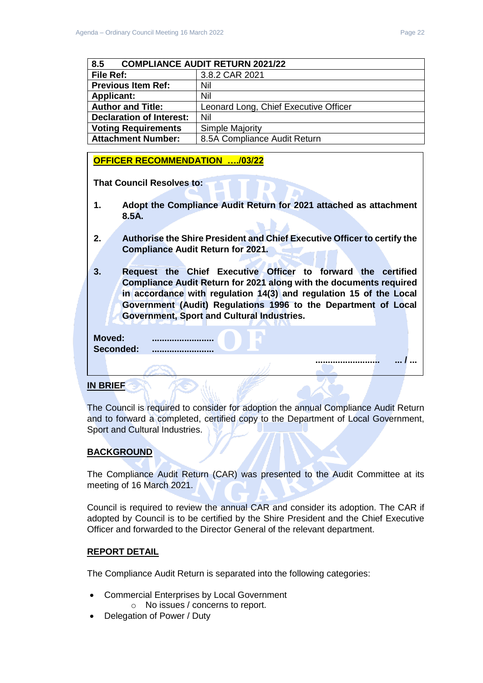**.......................... ... / ...** 

<span id="page-21-0"></span>

| <b>COMPLIANCE AUDIT RETURN 2021/22</b><br>8.5 |                                       |  |
|-----------------------------------------------|---------------------------------------|--|
| File Ref:                                     | 3.8.2 CAR 2021                        |  |
| <b>Previous Item Ref:</b>                     | Nil                                   |  |
| <b>Applicant:</b>                             | Nil                                   |  |
| <b>Author and Title:</b>                      | Leonard Long, Chief Executive Officer |  |
| <b>Declaration of Interest:</b>               | Nil                                   |  |
| <b>Voting Requirements</b>                    | Simple Majority                       |  |
| <b>Attachment Number:</b>                     | 8.5A Compliance Audit Return          |  |

### **OFFICER RECOMMENDATION …./03/22**

**That Council Resolves to:** 

- **1. Adopt the Compliance Audit Return for 2021 attached as attachment 8.5A.**
- **2. Authorise the Shire President and Chief Executive Officer to certify the Compliance Audit Return for 2021.**
- **3. Request the Chief Executive Officer to forward the certified Compliance Audit Return for 2021 along with the documents required in accordance with regulation 14(3) and regulation 15 of the Local Government (Audit) Regulations 1996 to the Department of Local Government, Sport and Cultural Industries.**

**Moved: ......................... Seconded: .........................**

#### **IN BRIEF**

The Council is required to consider for adoption the annual Compliance Audit Return and to forward a completed, certified copy to the Department of Local Government, Sport and Cultural Industries.

## **BACKGROUND**

The Compliance Audit Return (CAR) was presented to the Audit Committee at its meeting of 16 March 2021.

Council is required to review the annual CAR and consider its adoption. The CAR if adopted by Council is to be certified by the Shire President and the Chief Executive Officer and forwarded to the Director General of the relevant department.

#### **REPORT DETAIL**

The Compliance Audit Return is separated into the following categories:

- Commercial Enterprises by Local Government
	- o No issues / concerns to report.
- Delegation of Power / Duty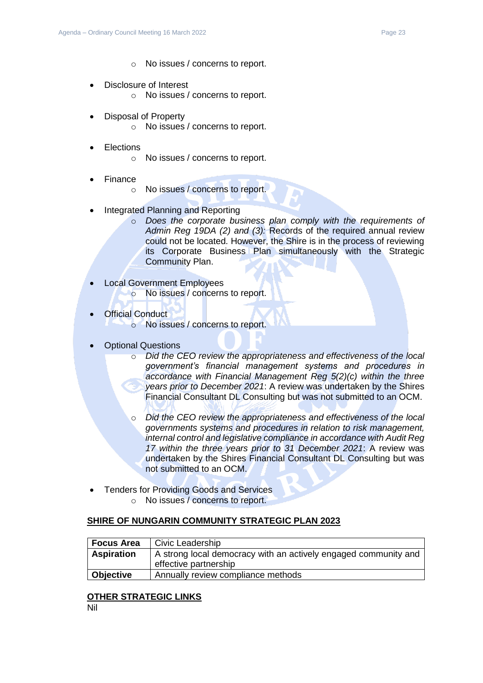- o No issues / concerns to report.
- Disclosure of Interest o No issues / concerns to report.
- Disposal of Property
	- o No issues / concerns to report.
- **Elections** 
	- o No issues / concerns to report.
- Finance
	- o No issues / concerns to report.
- Integrated Planning and Reporting
	- o *Does the corporate business plan comply with the requirements of Admin Reg 19DA (2) and (3):* Records of the required annual review could not be located. However, the Shire is in the process of reviewing its Corporate Business Plan simultaneously with the Strategic Community Plan.
- Local Government Employees o No issues / concerns to report.
- **Official Conduct** o No issues / concerns to report.
- Optional Questions
	- o *Did the CEO review the appropriateness and effectiveness of the local government's financial management systems and procedures in accordance with Financial Management Reg 5(2)(c) within the three years prior to December 2021*: A review was undertaken by the Shires Financial Consultant DL Consulting but was not submitted to an OCM.
	- o *Did the CEO review the appropriateness and effectiveness of the local governments systems and procedures in relation to risk management, internal control and legislative compliance in accordance with Audit Reg 17 within the three years prior to 31 December 2021*: A review was undertaken by the Shires Financial Consultant DL Consulting but was not submitted to an OCM.
- Tenders for Providing Goods and Services
	- o No issues / concerns to report.

## **SHIRE OF NUNGARIN COMMUNITY STRATEGIC PLAN 2023**

| <b>Focus Area</b> | Civic Leadership                                                                         |
|-------------------|------------------------------------------------------------------------------------------|
| <b>Aspiration</b> | A strong local democracy with an actively engaged community and<br>effective partnership |
| Objective         | Annually review compliance methods                                                       |

#### **OTHER STRATEGIC LINKS**

Nil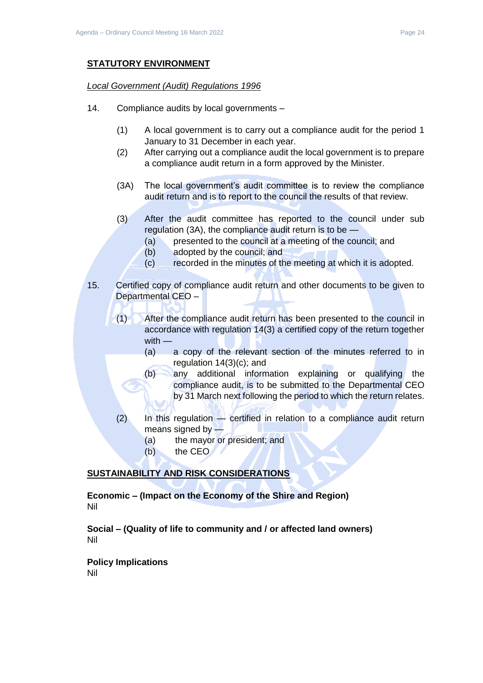## **STATUTORY ENVIRONMENT**

#### *Local Government (Audit) Regulations 1996*

- 14. Compliance audits by local governments
	- (1) A local government is to carry out a compliance audit for the period 1 January to 31 December in each year.
	- (2) After carrying out a compliance audit the local government is to prepare a compliance audit return in a form approved by the Minister.
	- (3A) The local government's audit committee is to review the compliance audit return and is to report to the council the results of that review.
	- (3) After the audit committee has reported to the council under sub regulation (3A), the compliance audit return is to be —
		- (a) presented to the council at a meeting of the council; and
		- (b) adopted by the council; and
		- (c) recorded in the minutes of the meeting at which it is adopted.
- 15. Certified copy of compliance audit return and other documents to be given to Departmental CEO –
	- (1) After the compliance audit return has been presented to the council in accordance with regulation 14(3) a certified copy of the return together with —
		- (a) a copy of the relevant section of the minutes referred to in regulation 14(3)(c); and
		- (b) any additional information explaining or qualifying the compliance audit, is to be submitted to the Departmental CEO by 31 March next following the period to which the return relates.
	- (2) In this regulation certified in relation to a compliance audit return means signed by —
		- (a) the mayor or president; and
		- (b) the CEO

## **SUSTAINABILITY AND RISK CONSIDERATIONS**

**Economic – (Impact on the Economy of the Shire and Region)** Nil

**Social – (Quality of life to community and / or affected land owners)** Nil

**Policy Implications**

Nil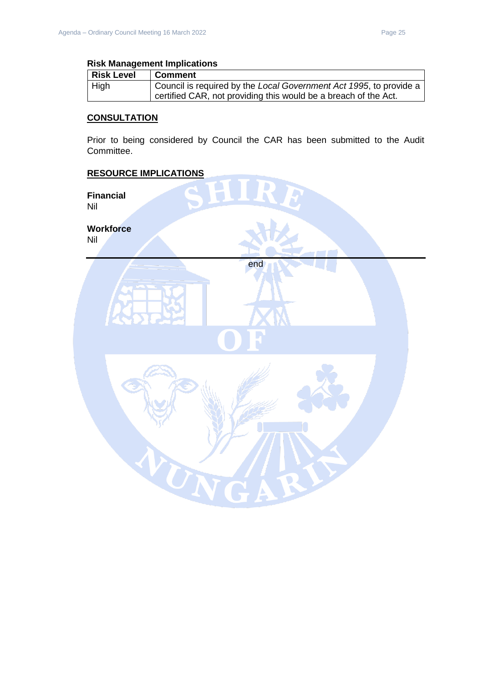#### **Risk Management Implications**

| <b>Risk Level</b> | Comment                                                            |
|-------------------|--------------------------------------------------------------------|
| $ $ High          | Council is required by the Local Government Act 1995, to provide a |
|                   | certified CAR, not providing this would be a breach of the Act.    |

## **CONSULTATION**

Prior to being considered by Council the CAR has been submitted to the Audit Committee.

end

UN

### **RESOURCE IMPLICATIONS**

**Financial** Nil

**Workforce** Nil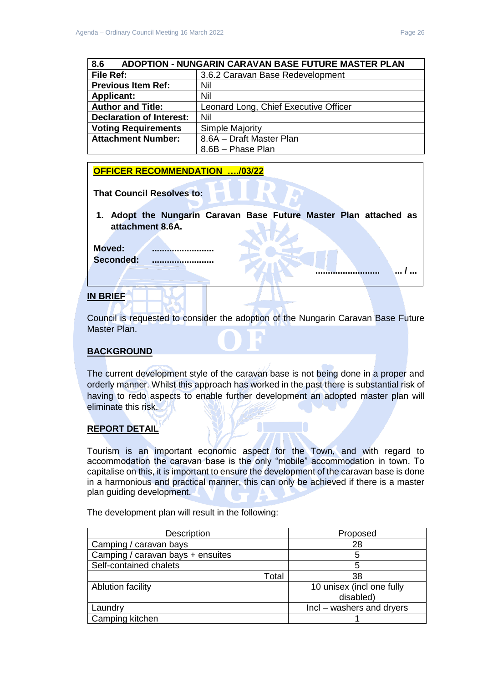## **OFFICER RECOMMENDATION …./03/22**

**Voting Requirements** | Simple Majority

**Attachment Number:** 18.6A – Draft Master Plan

**That Council Resolves to:** 

<span id="page-25-0"></span>**Declaration of Interest:** Nil

**1. Adopt the Nungarin Caravan Base Future Master Plan attached as attachment 8.6A.**

8.6B – Phase Plan

**Moved: ......................... Seconded: .........................**

### **IN BRIEF**

Council is requested to consider the adoption of the Nungarin Caravan Base Future Master Plan.

## **BACKGROUND**

The current development style of the caravan base is not being done in a proper and orderly manner. Whilst this approach has worked in the past there is substantial risk of having to redo aspects to enable further development an adopted master plan will eliminate this risk.

## **REPORT DETAIL**

Tourism is an important economic aspect for the Town, and with regard to accommodation the caravan base is the only "mobile" accommodation in town. To capitalise on this, it is important to ensure the development of the caravan base is done in a harmonious and practical manner, this can only be achieved if there is a master plan guiding development.

The development plan will result in the following:

| Description                       |       | Proposed                  |
|-----------------------------------|-------|---------------------------|
| Camping / caravan bays            |       | 28                        |
| Camping / caravan bays + ensuites |       | 5                         |
| Self-contained chalets            |       | 5                         |
|                                   | Total | 38                        |
| <b>Ablution facility</b>          |       | 10 unisex (incl one fully |
|                                   |       | disabled)                 |
| Laundry                           |       | Incl – washers and dryers |
| Camping kitchen                   |       |                           |

**.......................... ... / ...**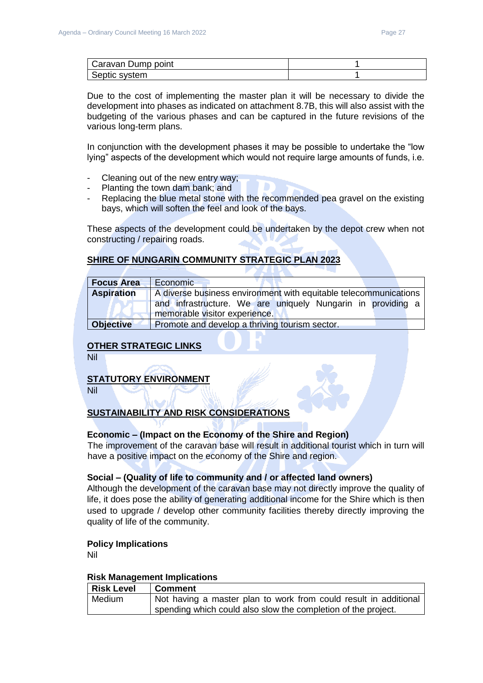| Caravan Dump point |  |
|--------------------|--|
| Septic system      |  |

Due to the cost of implementing the master plan it will be necessary to divide the development into phases as indicated on attachment 8.7B, this will also assist with the budgeting of the various phases and can be captured in the future revisions of the various long-term plans.

In conjunction with the development phases it may be possible to undertake the "low lying" aspects of the development which would not require large amounts of funds, i.e.

- Cleaning out of the new entry way;
- Planting the town dam bank; and
- Replacing the blue metal stone with the recommended pea gravel on the existing bays, which will soften the feel and look of the bays.

These aspects of the development could be undertaken by the depot crew when not constructing / repairing roads.

## **SHIRE OF NUNGARIN COMMUNITY STRATEGIC PLAN 2023**

| <b>Focus Area</b> | Economic                                                         |  |  |
|-------------------|------------------------------------------------------------------|--|--|
| <b>Aspiration</b> | A diverse business environment with equitable telecommunications |  |  |
|                   | and infrastructure. We are uniquely Nungarin in providing a      |  |  |
|                   | memorable visitor experience.                                    |  |  |
| <b>Objective</b>  | Promote and develop a thriving tourism sector.                   |  |  |

## **OTHER STRATEGIC LINKS**

Nil

## **STATUTORY ENVIRONMENT**

Nil

## **SUSTAINABILITY AND RISK CONSIDERATIONS**

## **Economic – (Impact on the Economy of the Shire and Region)**

The improvement of the caravan base will result in additional tourist which in turn will have a positive impact on the economy of the Shire and region.

#### **Social – (Quality of life to community and / or affected land owners)**

Although the development of the caravan base may not directly improve the quality of life, it does pose the ability of generating additional income for the Shire which is then used to upgrade / develop other community facilities thereby directly improving the quality of life of the community.

#### **Policy Implications**

Nil

#### **Risk Management Implications**

| <b>Risk Level</b> | ⊩Comment                                                         |
|-------------------|------------------------------------------------------------------|
| Medium            | Not having a master plan to work from could result in additional |
|                   | spending which could also slow the completion of the project.    |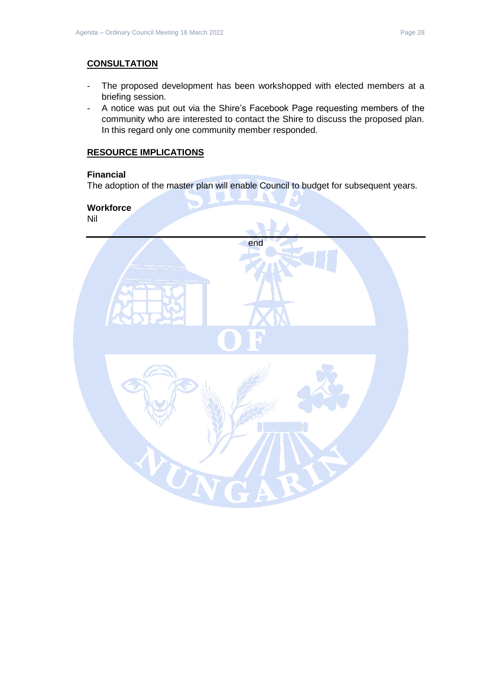## **CONSULTATION**

- The proposed development has been workshopped with elected members at a briefing session.
- A notice was put out via the Shire's Facebook Page requesting members of the community who are interested to contact the Shire to discuss the proposed plan. In this regard only one community member responded.

## **RESOURCE IMPLICATIONS**

## **Financial**

The adoption of the master plan will enable Council to budget for subsequent years.

## **Workforce**

Nil

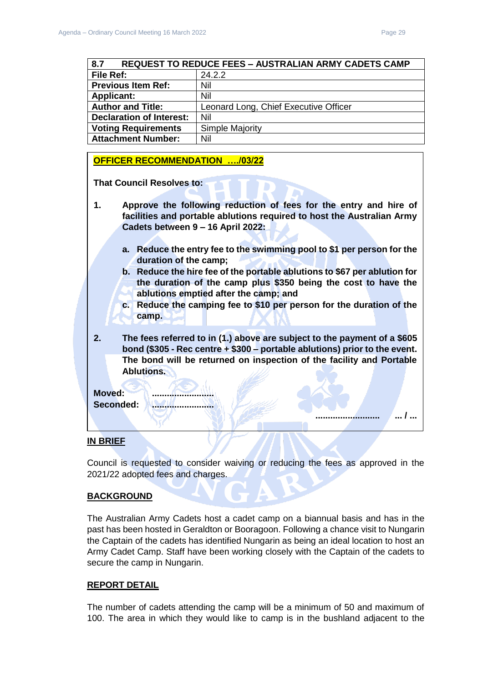**.......................... ... / ...** 

<span id="page-28-0"></span>

| <b>REQUEST TO REDUCE FEES - AUSTRALIAN ARMY CADETS CAMP</b><br>8.7 |                                       |  |
|--------------------------------------------------------------------|---------------------------------------|--|
| File Ref:                                                          | 24.2.2                                |  |
| <b>Previous Item Ref:</b>                                          | Nil                                   |  |
| <b>Applicant:</b>                                                  | Nil                                   |  |
| <b>Author and Title:</b>                                           | Leonard Long, Chief Executive Officer |  |
| <b>Declaration of Interest:</b>                                    | Nil                                   |  |
| <b>Voting Requirements</b>                                         | <b>Simple Majority</b>                |  |
| <b>Attachment Number:</b>                                          | Nil                                   |  |

#### **OFFICER RECOMMENDATION …./03/22**

**That Council Resolves to:** 

- **1. Approve the following reduction of fees for the entry and hire of facilities and portable ablutions required to host the Australian Army Cadets between 9 – 16 April 2022:**
	- **a. Reduce the entry fee to the swimming pool to \$1 per person for the duration of the camp;**
	- **b. Reduce the hire fee of the portable ablutions to \$67 per ablution for the duration of the camp plus \$350 being the cost to have the ablutions emptied after the camp; and**
	- **c. Reduce the camping fee to \$10 per person for the duration of the camp.**
- **2. The fees referred to in (1.) above are subject to the payment of a \$605 bond (\$305 - Rec centre + \$300 – portable ablutions) prior to the event. The bond will be returned on inspection of the facility and Portable Ablutions.**



#### **IN BRIEF**

Council is requested to consider waiving or reducing the fees as approved in the 2021/22 adopted fees and charges.

#### **BACKGROUND**

The Australian Army Cadets host a cadet camp on a biannual basis and has in the past has been hosted in Geraldton or Booragoon. Following a chance visit to Nungarin the Captain of the cadets has identified Nungarin as being an ideal location to host an Army Cadet Camp. Staff have been working closely with the Captain of the cadets to secure the camp in Nungarin.

#### **REPORT DETAIL**

The number of cadets attending the camp will be a minimum of 50 and maximum of 100. The area in which they would like to camp is in the bushland adjacent to the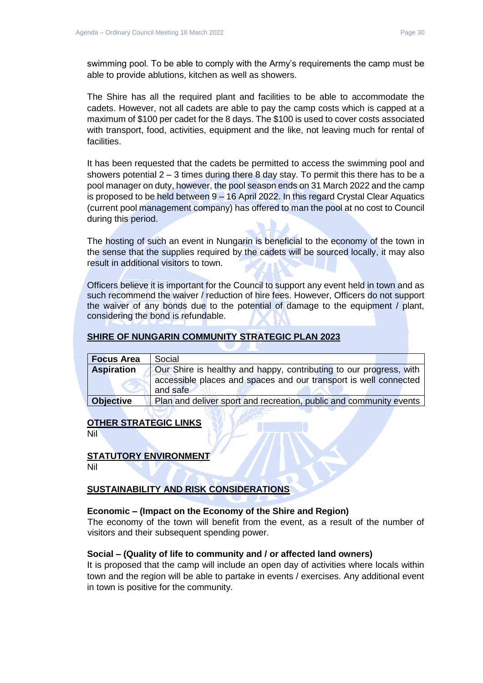swimming pool. To be able to comply with the Army's requirements the camp must be able to provide ablutions, kitchen as well as showers.

The Shire has all the required plant and facilities to be able to accommodate the cadets. However, not all cadets are able to pay the camp costs which is capped at a maximum of \$100 per cadet for the 8 days. The \$100 is used to cover costs associated with transport, food, activities, equipment and the like, not leaving much for rental of facilities.

It has been requested that the cadets be permitted to access the swimming pool and showers potential  $2 - 3$  times during there 8 day stay. To permit this there has to be a pool manager on duty, however, the pool season ends on 31 March 2022 and the camp is proposed to be held between 9 – 16 April 2022. In this regard Crystal Clear Aquatics (current pool management company) has offered to man the pool at no cost to Council during this period.

The hosting of such an event in Nungarin is beneficial to the economy of the town in the sense that the supplies required by the cadets will be sourced locally, it may also result in additional visitors to town.

Officers believe it is important for the Council to support any event held in town and as such recommend the waiver / reduction of hire fees. However, Officers do not support the waiver of any bonds due to the potential of damage to the equipment / plant, considering the bond is refundable.

#### **SHIRE OF NUNGARIN COMMUNITY STRATEGIC PLAN 2023**

| <b>Focus Area</b> | Social                                                                                                                                             |
|-------------------|----------------------------------------------------------------------------------------------------------------------------------------------------|
| <b>Aspiration</b> | Our Shire is healthy and happy, contributing to our progress, with<br>accessible places and spaces and our transport is well connected<br>and safe |
| <b>Objective</b>  | Plan and deliver sport and recreation, public and community events                                                                                 |

#### **OTHER STRATEGIC LINKS**

Nil

#### **STATUTORY ENVIRONMENT**

Nil

## **SUSTAINABILITY AND RISK CONSIDERATIONS**

#### **Economic – (Impact on the Economy of the Shire and Region)**

The economy of the town will benefit from the event, as a result of the number of visitors and their subsequent spending power.

#### **Social – (Quality of life to community and / or affected land owners)**

It is proposed that the camp will include an open day of activities where locals within town and the region will be able to partake in events / exercises. Any additional event in town is positive for the community.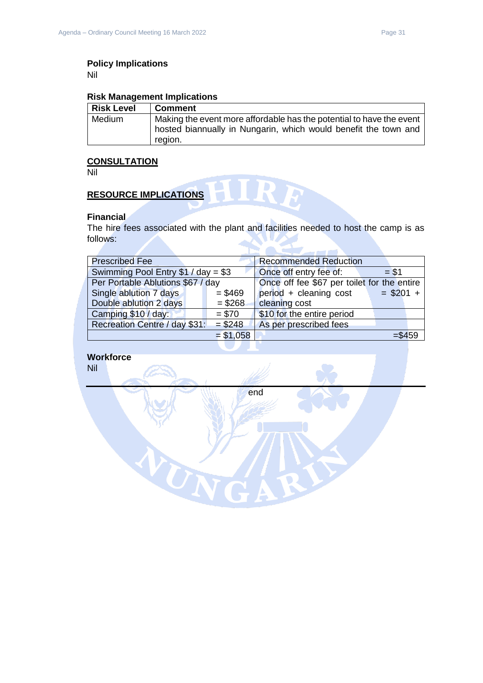Nil

## **Risk Management Implications**

| <b>Risk Level</b> | <b>Comment</b>                                                                                                                                     |
|-------------------|----------------------------------------------------------------------------------------------------------------------------------------------------|
| Medium            | Making the event more affordable has the potential to have the event<br>hosted biannually in Nungarin, which would benefit the town and<br>region. |

## **CONSULTATION**

Nil

# **RESOURCE IMPLICATIONS**

### **Financial**

The hire fees associated with the plant and facilities needed to host the camp is as follows:

NA.

HIRE

| <b>Prescribed Fee</b>               |            | <b>Recommended Reduction</b>                |            |
|-------------------------------------|------------|---------------------------------------------|------------|
| Swimming Pool Entry $$1 / day = $3$ |            | Once off entry fee of:                      | $= $1$     |
| Per Portable Ablutions \$67 / day   |            | Once off fee \$67 per toilet for the entire |            |
| Single ablution 7 days              | $= $469$   | period + cleaning cost                      | $= $201 +$ |
| Double ablution 2 days              | $= $268$   | cleaning cost                               |            |
| Camping \$10 / day:                 | $= $70$    | \$10 for the entire period                  |            |
| Recreation Centre / day \$31:       | $= $248$   | As per prescribed fees                      |            |
|                                     | $= $1,058$ |                                             | $= $459$   |
|                                     |            |                                             |            |

end

WN

**Workforce**

Nil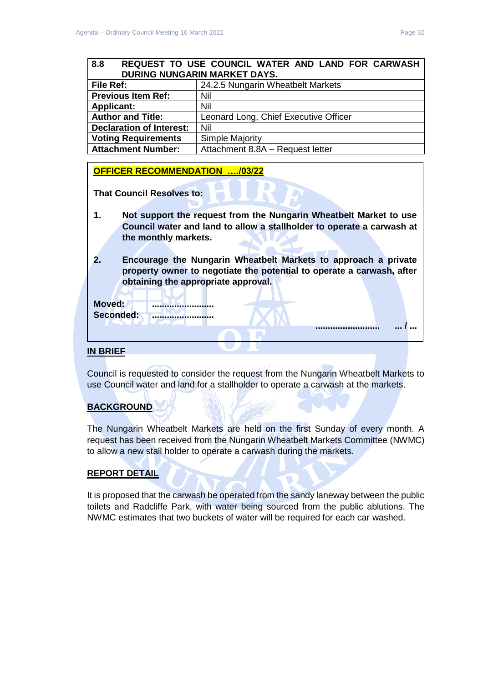<span id="page-31-0"></span>

| <b>File Ref:</b>                                     | 24.2.5 Nungarin Wheatbelt Markets     |  |
|------------------------------------------------------|---------------------------------------|--|
| <b>Previous Item Ref:</b>                            | Nil                                   |  |
| <b>Applicant:</b>                                    | Nil                                   |  |
| <b>Author and Title:</b>                             | Leonard Long, Chief Executive Officer |  |
| <b>Declaration of Interest:</b>                      | Nil                                   |  |
| <b>Simple Majority</b><br><b>Voting Requirements</b> |                                       |  |
| <b>Attachment Number:</b>                            | Attachment 8.8A - Request letter      |  |

## **OFFICER RECOMMENDATION …./03/22**

**That Council Resolves to:** 

- **1. Not support the request from the Nungarin Wheatbelt Market to use Council water and land to allow a stallholder to operate a carwash at the monthly markets.**
- **2. Encourage the Nungarin Wheatbelt Markets to approach a private property owner to negotiate the potential to operate a carwash, after obtaining the appropriate approval.**

**Moved: .........................** Seconded: **........................**....

## **IN BRIEF**

Council is requested to consider the request from the Nungarin Wheatbelt Markets to use Council water and land for a stallholder to operate a carwash at the markets.

## **BACKGROUND**

The Nungarin Wheatbelt Markets are held on the first Sunday of every month. A request has been received from the Nungarin Wheatbelt Markets Committee (NWMC) to allow a new stall holder to operate a carwash during the markets.

## **REPORT DETAIL**

It is proposed that the carwash be operated from the sandy laneway between the public toilets and Radcliffe Park, with water being sourced from the public ablutions. The NWMC estimates that two buckets of water will be required for each car washed.

**.......................... ... / ...**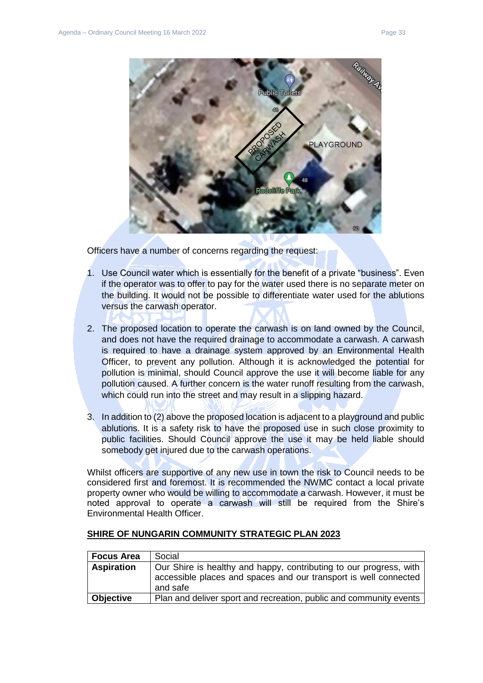

Officers have a number of concerns regarding the request:

- 1. Use Council water which is essentially for the benefit of a private "business". Even if the operator was to offer to pay for the water used there is no separate meter on the building. It would not be possible to differentiate water used for the ablutions versus the carwash operator.
- 2. The proposed location to operate the carwash is on land owned by the Council, and does not have the required drainage to accommodate a carwash. A carwash is required to have a drainage system approved by an Environmental Health Officer, to prevent any pollution. Although it is acknowledged the potential for pollution is minimal, should Council approve the use it will become liable for any pollution caused. A further concern is the water runoff resulting from the carwash, which could run into the street and may result in a slipping hazard.
- 3. In addition to (2) above the proposed location is adjacent to a playground and public ablutions. It is a safety risk to have the proposed use in such close proximity to public facilities. Should Council approve the use it may be held liable should somebody get injured due to the carwash operations.

Whilst officers are supportive of any new use in town the risk to Council needs to be considered first and foremost. It is recommended the NWMC contact a local private property owner who would be willing to accommodate a carwash. However, it must be noted approval to operate a carwash will still be required from the Shire's Environmental Health Officer.

| <b>Focus Area</b> | Social                                                                                                                                             |  |
|-------------------|----------------------------------------------------------------------------------------------------------------------------------------------------|--|
| <b>Aspiration</b> | Our Shire is healthy and happy, contributing to our progress, with<br>accessible places and spaces and our transport is well connected<br>and safe |  |
| <b>Objective</b>  | Plan and deliver sport and recreation, public and community events                                                                                 |  |

#### **SHIRE OF NUNGARIN COMMUNITY STRATEGIC PLAN 2023**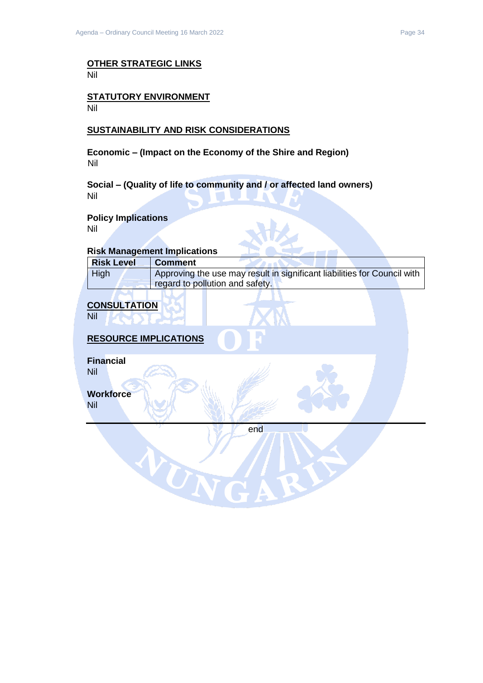#### **OTHER STRATEGIC LINKS** Nil

#### **STATUTORY ENVIRONMENT** Nil

### **SUSTAINABILITY AND RISK CONSIDERATIONS**

**Economic – (Impact on the Economy of the Shire and Region)** Nil

**Social – (Quality of life to community and / or affected land owners)** Nil

### **Policy Implications**

Nil

### **Risk Management Implications**

| <b>Risk Level</b> | <b>Comment</b>                                                           |
|-------------------|--------------------------------------------------------------------------|
| High              | Approving the use may result in significant liabilities for Council with |
|                   | regard to pollution and safety.                                          |

## **CONSULTATION**

Nil

## **RESOURCE IMPLICATIONS**

VON

**Financial**

Nil

**Workforce**

Nil

end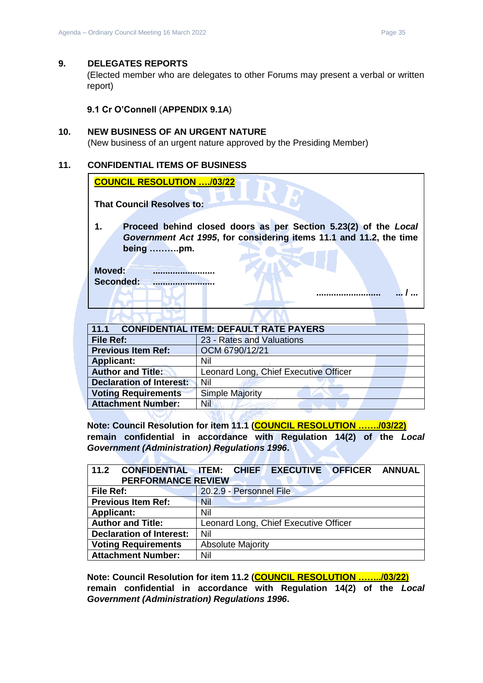### <span id="page-34-0"></span>**9. DELEGATES REPORTS**

(Elected member who are delegates to other Forums may present a verbal or written report)

**9.1 Cr O'Connell** (**APPENDIX 9.1A**)

### <span id="page-34-2"></span><span id="page-34-1"></span>**10. NEW BUSINESS OF AN URGENT NATURE**

(New business of an urgent nature approved by the Presiding Member)

## <span id="page-34-3"></span>**11. CONFIDENTIAL ITEMS OF BUSINESS**

| <b>COUNCIL RESOLUTION /03/22</b>                                                                                                                   |
|----------------------------------------------------------------------------------------------------------------------------------------------------|
| <b>That Council Resolves to:</b>                                                                                                                   |
| Proceed behind closed doors as per Section 5.23(2) of the Local<br>Government Act 1995, for considering items 11.1 and 11.2, the time<br>being pm. |
| Moved:<br>Seconded:                                                                                                                                |
|                                                                                                                                                    |

<span id="page-34-4"></span>

| 11.1<br><b>CONFIDENTIAL ITEM: DEFAULT RATE PAYERS</b> |                                       |  |  |  |
|-------------------------------------------------------|---------------------------------------|--|--|--|
| File Ref:                                             | 23 - Rates and Valuations             |  |  |  |
| <b>Previous Item Ref:</b>                             | OCM 6790/12/21                        |  |  |  |
| <b>Applicant:</b>                                     | Nil                                   |  |  |  |
| <b>Author and Title:</b>                              | Leonard Long, Chief Executive Officer |  |  |  |
| <b>Declaration of Interest:</b>                       | Nil                                   |  |  |  |
| <b>Voting Requirements</b>                            | <b>Simple Majority</b>                |  |  |  |
| <b>Attachment Number:</b>                             | Nil                                   |  |  |  |
|                                                       |                                       |  |  |  |

**Note: Council Resolution for item 11.1 (COUNCIL RESOLUTION ……./03/22) remain confidential in accordance with Regulation 14(2) of the** *Local Government (Administration) Regulations 1996***.**

<span id="page-34-5"></span>

| 11.2<br><b>CONFIDENTIAL ITEM:</b><br><b>PERFORMANCE REVIEW</b> | <b>EXECUTIVE OFFICER</b><br><b>ANNUAL</b><br><b>CHIEF</b> |  |  |
|----------------------------------------------------------------|-----------------------------------------------------------|--|--|
| File Ref:                                                      | 20.2.9 - Personnel File                                   |  |  |
| <b>Previous Item Ref:</b>                                      | Nil                                                       |  |  |
| <b>Applicant:</b>                                              | Nil                                                       |  |  |
| <b>Author and Title:</b>                                       | Leonard Long, Chief Executive Officer                     |  |  |
| <b>Declaration of Interest:</b>                                | Nil                                                       |  |  |
| <b>Voting Requirements</b>                                     | <b>Absolute Majority</b>                                  |  |  |
| <b>Attachment Number:</b>                                      | Nil                                                       |  |  |

**Note: Council Resolution for item 11.2 (COUNCIL RESOLUTION ……../03/22) remain confidential in accordance with Regulation 14(2) of the** *Local Government (Administration) Regulations 1996***.**